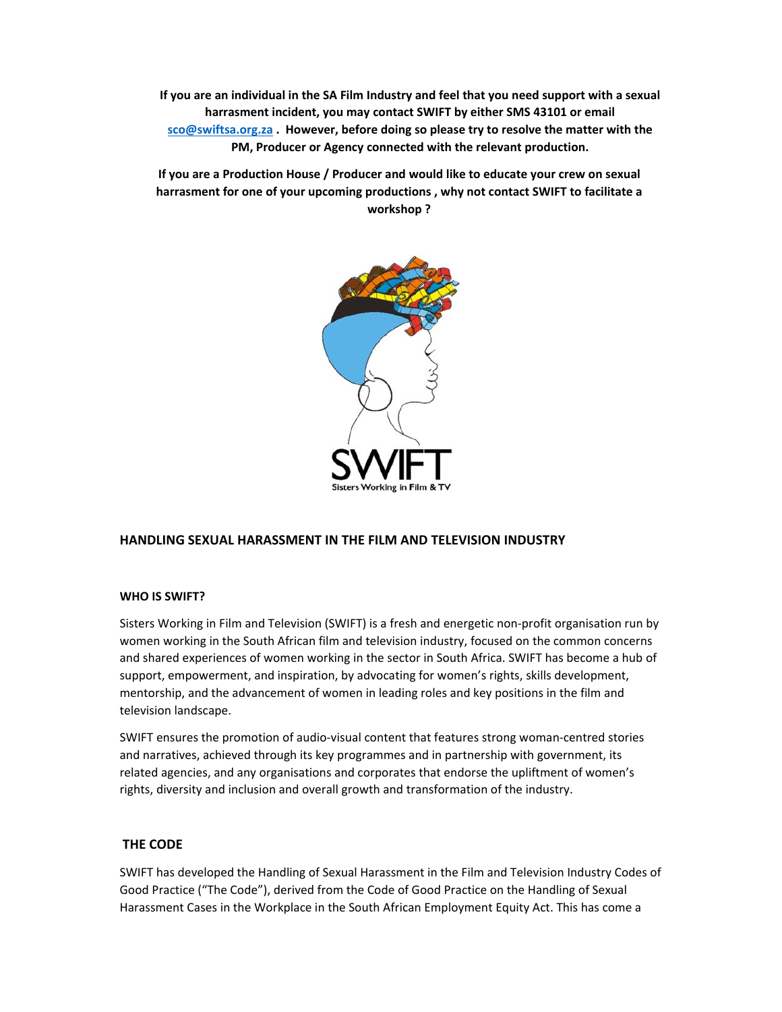**If you are an individual in the SA Film Industry and feel that you need support with a sexual harrasment incident, you may contact SWIFT by either SMS 43101 or email sco@swiftsa.org.za . However, before doing so please try to resolve the matter with the PM, Producer or Agency connected with the relevant production.** 

**If you are a Production House / Producer and would like to educate your crew on sexual harrasment for one of your upcoming productions , why not contact SWIFT to facilitate a workshop ?** 



# **HANDLING SEXUAL HARASSMENT IN THE FILM AND TELEVISION INDUSTRY**

### **WHO IS SWIFT?**

Sisters Working in Film and Television (SWIFT) is a fresh and energetic non‐profit organisation run by women working in the South African film and television industry, focused on the common concerns and shared experiences of women working in the sector in South Africa. SWIFT has become a hub of support, empowerment, and inspiration, by advocating for women's rights, skills development, mentorship, and the advancement of women in leading roles and key positions in the film and television landscape.

SWIFT ensures the promotion of audio‐visual content that features strong woman‐centred stories and narratives, achieved through its key programmes and in partnership with government, its related agencies, and any organisations and corporates that endorse the upliftment of women's rights, diversity and inclusion and overall growth and transformation of the industry.

## **THE CODE**

SWIFT has developed the Handling of Sexual Harassment in the Film and Television Industry Codes of Good Practice ("The Code"), derived from the Code of Good Practice on the Handling of Sexual Harassment Cases in the Workplace in the South African Employment Equity Act. This has come a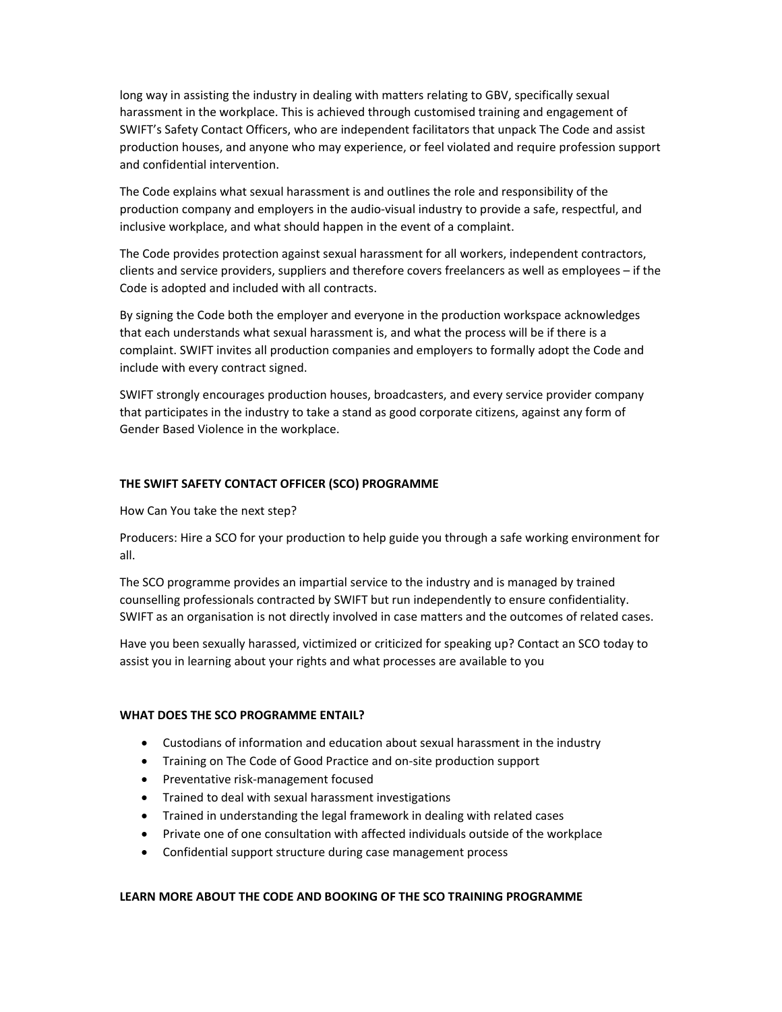long way in assisting the industry in dealing with matters relating to GBV, specifically sexual harassment in the workplace. This is achieved through customised training and engagement of SWIFT's Safety Contact Officers, who are independent facilitators that unpack The Code and assist production houses, and anyone who may experience, or feel violated and require profession support and confidential intervention.

The Code explains what sexual harassment is and outlines the role and responsibility of the production company and employers in the audio‐visual industry to provide a safe, respectful, and inclusive workplace, and what should happen in the event of a complaint.

The Code provides protection against sexual harassment for all workers, independent contractors, clients and service providers, suppliers and therefore covers freelancers as well as employees – if the Code is adopted and included with all contracts.

By signing the Code both the employer and everyone in the production workspace acknowledges that each understands what sexual harassment is, and what the process will be if there is a complaint. SWIFT invites all production companies and employers to formally adopt the Code and include with every contract signed.

SWIFT strongly encourages production houses, broadcasters, and every service provider company that participates in the industry to take a stand as good corporate citizens, against any form of Gender Based Violence in the workplace.

### **THE SWIFT SAFETY CONTACT OFFICER (SCO) PROGRAMME**

How Can You take the next step?

Producers: Hire a SCO for your production to help guide you through a safe working environment for all.

The SCO programme provides an impartial service to the industry and is managed by trained counselling professionals contracted by SWIFT but run independently to ensure confidentiality. SWIFT as an organisation is not directly involved in case matters and the outcomes of related cases.

Have you been sexually harassed, victimized or criticized for speaking up? Contact an SCO today to assist you in learning about your rights and what processes are available to you

#### **WHAT DOES THE SCO PROGRAMME ENTAIL?**

- Custodians of information and education about sexual harassment in the industry
- Training on The Code of Good Practice and on-site production support
- Preventative risk-management focused
- Trained to deal with sexual harassment investigations
- Trained in understanding the legal framework in dealing with related cases
- Private one of one consultation with affected individuals outside of the workplace
- Confidential support structure during case management process

### **LEARN MORE ABOUT THE CODE AND BOOKING OF THE SCO TRAINING PROGRAMME**